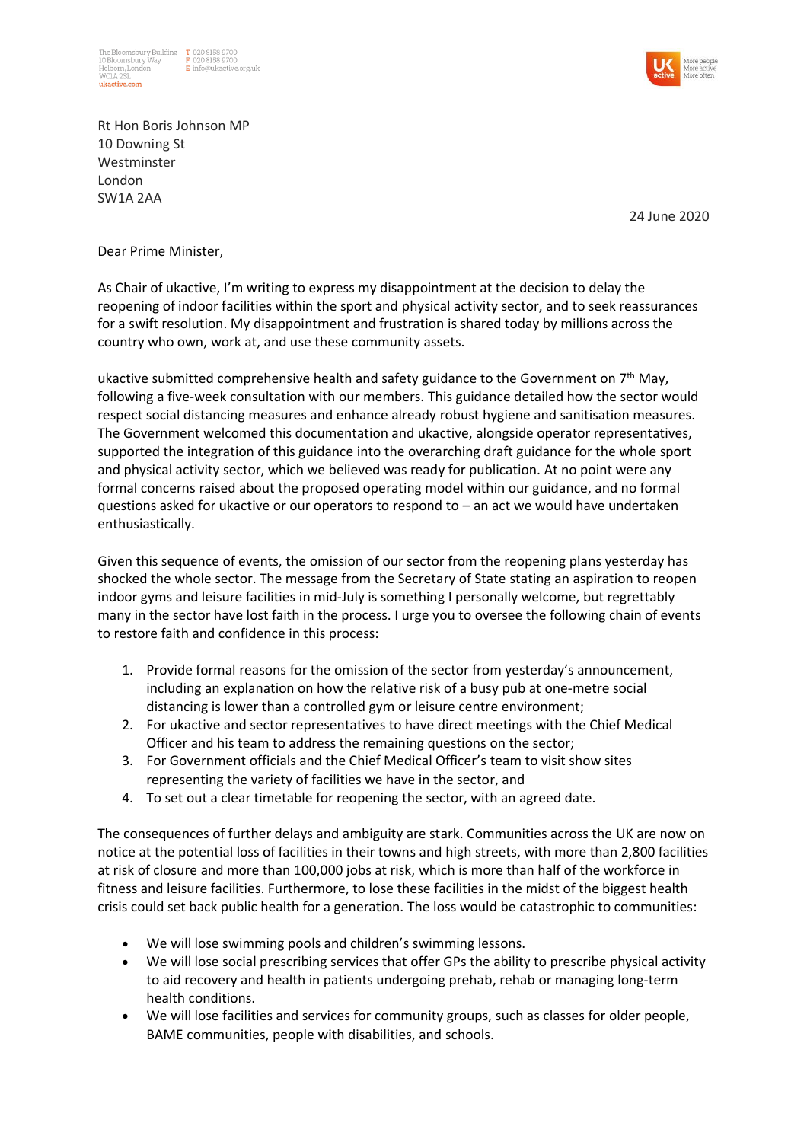



Rt Hon Boris Johnson MP 10 Downing St Westminster London SW1A 2AA

24 June 2020

## Dear Prime Minister,

As Chair of ukactive, I'm writing to express my disappointment at the decision to delay the reopening of indoor facilities within the sport and physical activity sector, and to seek reassurances for a swift resolution. My disappointment and frustration is shared today by millions across the country who own, work at, and use these community assets.

ukactive submitted comprehensive health and safety guidance to the Government on  $7<sup>th</sup>$  May, following a five-week consultation with our members. This guidance detailed how the sector would respect social distancing measures and enhance already robust hygiene and sanitisation measures. The Government welcomed this documentation and ukactive, alongside operator representatives, supported the integration of this guidance into the overarching draft guidance for the whole sport and physical activity sector, which we believed was ready for publication. At no point were any formal concerns raised about the proposed operating model within our guidance, and no formal questions asked for ukactive or our operators to respond to – an act we would have undertaken enthusiastically.

Given this sequence of events, the omission of our sector from the reopening plans yesterday has shocked the whole sector. The message from the Secretary of State stating an aspiration to reopen indoor gyms and leisure facilities in mid-July is something I personally welcome, but regrettably many in the sector have lost faith in the process. I urge you to oversee the following chain of events to restore faith and confidence in this process:

- 1. Provide formal reasons for the omission of the sector from yesterday's announcement, including an explanation on how the relative risk of a busy pub at one-metre social distancing is lower than a controlled gym or leisure centre environment;
- 2. For ukactive and sector representatives to have direct meetings with the Chief Medical Officer and his team to address the remaining questions on the sector;
- 3. For Government officials and the Chief Medical Officer's team to visit show sites representing the variety of facilities we have in the sector, and
- 4. To set out a clear timetable for reopening the sector, with an agreed date.

The consequences of further delays and ambiguity are stark. Communities across the UK are now on notice at the potential loss of facilities in their towns and high streets, with more than 2,800 facilities at risk of closure and more than 100,000 jobs at risk, which is more than half of the workforce in fitness and leisure facilities. Furthermore, to lose these facilities in the midst of the biggest health crisis could set back public health for a generation. The loss would be catastrophic to communities:

- We will lose swimming pools and children's swimming lessons.
- We will lose social prescribing services that offer GPs the ability to prescribe physical activity to aid recovery and health in patients undergoing prehab, rehab or managing long-term health conditions.
- We will lose facilities and services for community groups, such as classes for older people, BAME communities, people with disabilities, and schools.